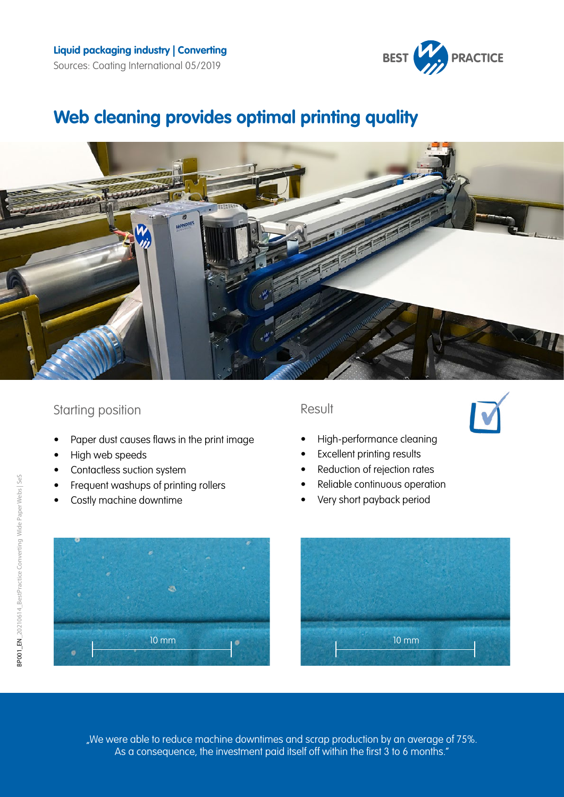

# **Web cleaning provides optimal printing quality**



## Starting position

- Paper dust causes flaws in the print image
- High web speeds
- Contactless suction system
- Frequent washups of printing rollers
- Costly machine downtime

### Result



- High-performance cleaning
- **Excellent printing results**
- Reduction of rejection rates
- Reliable continuous operation
- Very short payback period





"We were able to reduce machine downtimes and scrap production by an average of 75%. As a consequence, the investment paid itself off within the first 3 to 6 months."